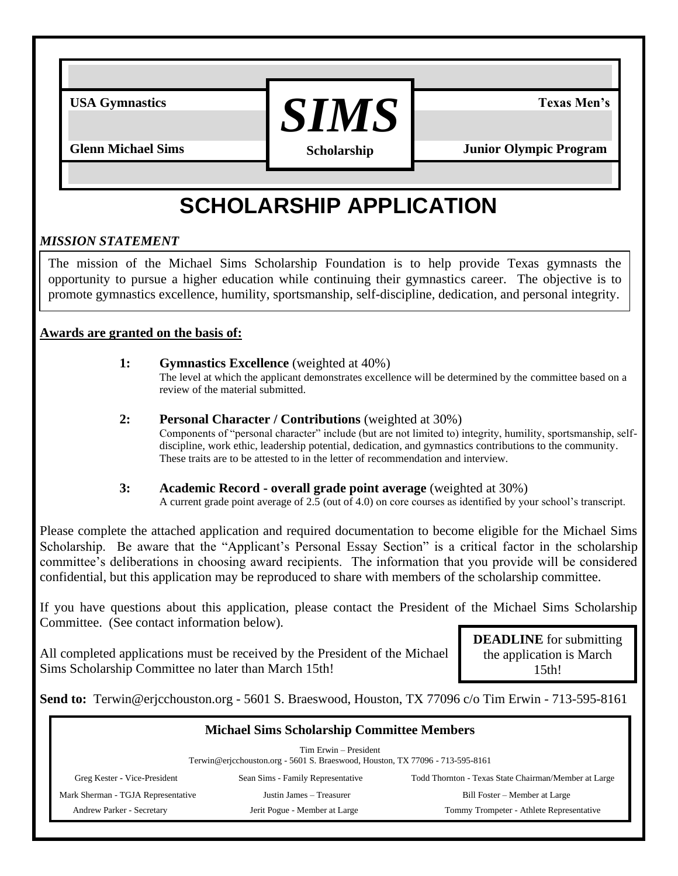USA Gymnastics  $SIMS$   $SIMS$ **Scholarship**

**Glenn Michael Sims Junior Olympic Program** 

## **SCHOLARSHIP APPLICATION**

## *MISSION STATEMENT*

The mission of the Michael Sims Scholarship Foundation is to help provide Texas gymnasts the opportunity to pursue a higher education while continuing their gymnastics career. The objective is to promote gymnastics excellence, humility, sportsmanship, self-discipline, dedication, and personal integrity.

## **Awards are granted on the basis of:**

| <b>1:</b> | <b>Gymnastics Excellence</b> (weighted at 40%)                                                          |  |  |  |
|-----------|---------------------------------------------------------------------------------------------------------|--|--|--|
|           | The level at which the applicant demonstrates excellence will be determined by the committee based on a |  |  |  |
|           | review of the material submitted.                                                                       |  |  |  |

- **2: Personal Character / Contributions** (weighted at 30%) Components of "personal character" include (but are not limited to) integrity, humility, sportsmanship, selfdiscipline, work ethic, leadership potential, dedication, and gymnastics contributions to the community. These traits are to be attested to in the letter of recommendation and interview.
- **3: Academic Record - overall grade point average** (weighted at 30%) A current grade point average of  $2.5$  (out of 4.0) on core courses as identified by your school's transcript.

Please complete the attached application and required documentation to become eligible for the Michael Sims Scholarship. Be aware that the "Applicant's Personal Essay Section" is a critical factor in the scholarship committee's deliberations in choosing award recipients. The information that you provide will be considered confidential, but this application may be reproduced to share with members of the scholarship committee.

If you have questions about this application, please contact the President of the Michael Sims Scholarship Committee. (See contact information below).

All completed applications must be received by the President of the Michael Sims Scholarship Committee no later than March 15th!

**DEADLINE** for submitting the application is March 15th!

**Send to:** Terwin@erjcchouston.org - 5601 S. Braeswood, Houston, TX 77096 c/o Tim Erwin - 713-595-8161

| <b>Michael Sims Scholarship Committee Members</b>                                                      |                                   |                                                      |  |  |  |  |
|--------------------------------------------------------------------------------------------------------|-----------------------------------|------------------------------------------------------|--|--|--|--|
| Tim Erwin – President<br>Terwin@erjcchouston.org - 5601 S. Braeswood, Houston, TX 77096 - 713-595-8161 |                                   |                                                      |  |  |  |  |
| Greg Kester - Vice-President                                                                           | Sean Sims - Family Representative | Todd Thornton - Texas State Chairman/Member at Large |  |  |  |  |
| Mark Sherman - TGJA Representative<br>Justin James - Treasurer                                         |                                   | Bill Foster – Member at Large                        |  |  |  |  |
| Andrew Parker - Secretary                                                                              | Jerit Pogue - Member at Large     | Tommy Trompeter - Athlete Representative             |  |  |  |  |